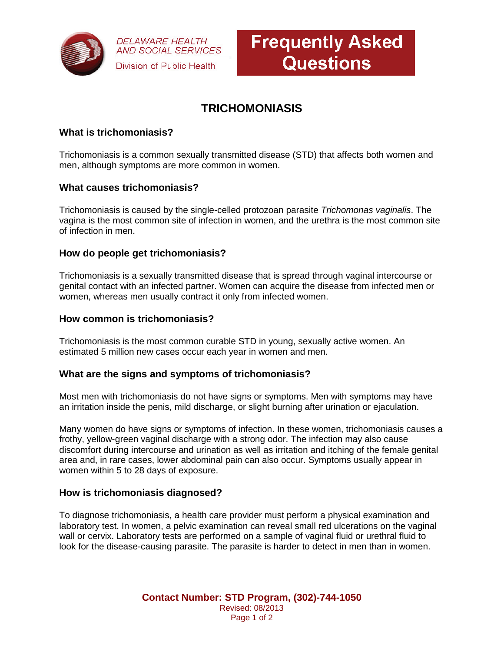

**DELAWARE HEALTH AND SOCIAL SERVICES** Division of Public Health

# **Frequently Asked Questions**

# **TRICHOMONIASIS**

## **What is trichomoniasis?**

Trichomoniasis is a common sexually transmitted disease (STD) that affects both women and men, although symptoms are more common in women.

### **What causes trichomoniasis?**

Trichomoniasis is caused by the single-celled protozoan parasite *Trichomonas vaginalis*. The vagina is the most common site of infection in women, and the urethra is the most common site of infection in men.

#### **How do people get trichomoniasis?**

Trichomoniasis is a sexually transmitted disease that is spread through vaginal intercourse or genital contact with an infected partner. Women can acquire the disease from infected men or women, whereas men usually contract it only from infected women.

#### **How common is trichomoniasis?**

Trichomoniasis is the most common curable STD in young, sexually active women. An estimated 5 million new cases occur each year in women and men.

#### **What are the signs and symptoms of trichomoniasis?**

Most men with trichomoniasis do not have signs or symptoms. Men with symptoms may have an irritation inside the penis, mild discharge, or slight burning after urination or ejaculation.

Many women do have signs or symptoms of infection. In these women, trichomoniasis causes a frothy, yellow-green vaginal discharge with a strong odor. The infection may also cause discomfort during intercourse and urination as well as irritation and itching of the female genital area and, in rare cases, lower abdominal pain can also occur. Symptoms usually appear in women within 5 to 28 days of exposure.

#### **How is trichomoniasis diagnosed?**

To diagnose trichomoniasis, a health care provider must perform a physical examination and laboratory test. In women, a pelvic examination can reveal small red ulcerations on the vaginal wall or cervix. Laboratory tests are performed on a sample of vaginal fluid or urethral fluid to look for the disease-causing parasite. The parasite is harder to detect in men than in women.